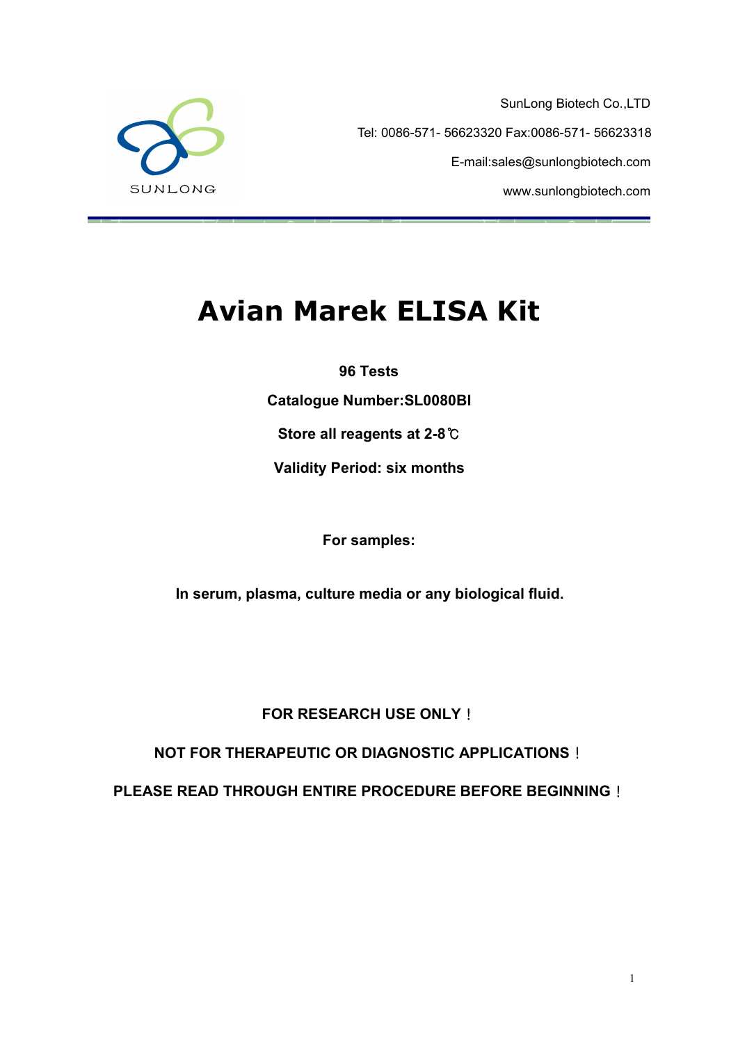

SunLong Biotech Co.,LTD Tel: 0086-571- 56623320 Fax:0086-571- 56623318 E-mail:sales@sunlongbiotech.com www.sunlongbiotech.com

# **Avian Marek ELISA Kit**

**96 Tests**

**Catalogue Number:SL0080BI**

**Store all reagents at 2-8**℃

**Validity Period: six months**

**For samples:**

**In serum, plasma, culture media or any biological fluid.**

**FOR RESEARCH USE ONLY**!

**NOT FOR THERAPEUTIC OR DIAGNOSTIC APPLICATIONS**!

**PLEASE READ THROUGH ENTIRE PROCEDURE BEFORE BEGINNING**!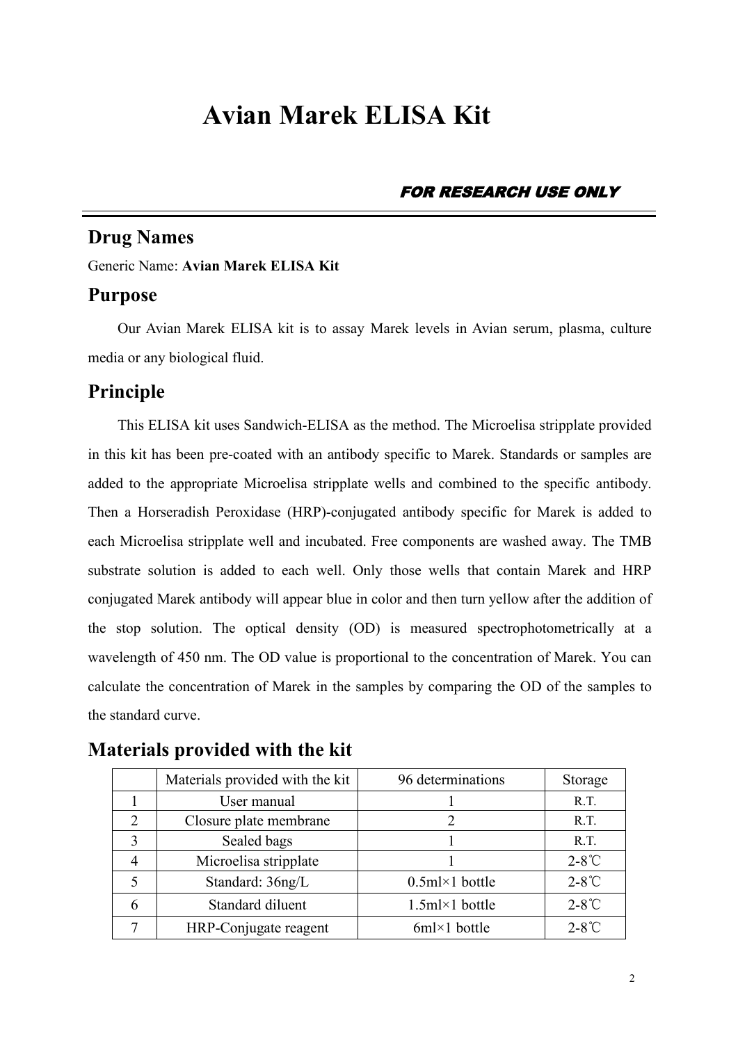# **Avian Marek ELISA Kit**

FOR RESEARCH USE ONLY

### **Drug Names**

Generic Name: **Avian Marek ELISA Kit**

### **Purpose**

Our Avian Marek ELISA kit is to assay Marek levels in Avian serum, plasma, culture media or any biological fluid.

### **Principle**

This ELISA kit uses Sandwich-ELISA as the method. The Microelisa stripplate provided in this kit has been pre-coated with an antibody specific to Marek. Standards or samples are added to the appropriate Microelisa stripplate wells and combined to the specific antibody. Then a Horseradish Peroxidase (HRP)-conjugated antibody specific for Marek is added to each Microelisa stripplate well and incubated. Free components are washed away. The TMB substrate solution is added to each well. Only those wells that contain Marek and HRP conjugated Marek antibody will appear blue in color and then turn yellow after the addition of the stop solution. The optical density (OD) is measured spectrophotometrically at a wavelength of 450 nm. The OD value is proportional to the concentration of Marek. You can calculate the concentration of Marek in the samples by comparing the OD of the samples to the standard curve.

|--|

|                | Materials provided with the kit | 96 determinations    | Storage         |
|----------------|---------------------------------|----------------------|-----------------|
|                | User manual                     |                      | R.T.            |
| 2              | Closure plate membrane          |                      | R.T.            |
|                | Sealed bags                     |                      | R.T.            |
| $\overline{4}$ | Microelisa stripplate           |                      | $2-8^{\circ}$ C |
|                | Standard: 36ng/L                | $0.5$ ml×1 bottle    | $2-8^{\circ}$ C |
| 6              | Standard diluent                | $1.5$ ml×1 bottle    | $2-8^{\circ}$ C |
|                | HRP-Conjugate reagent           | $6m \times 1$ bottle | $2-8^{\circ}C$  |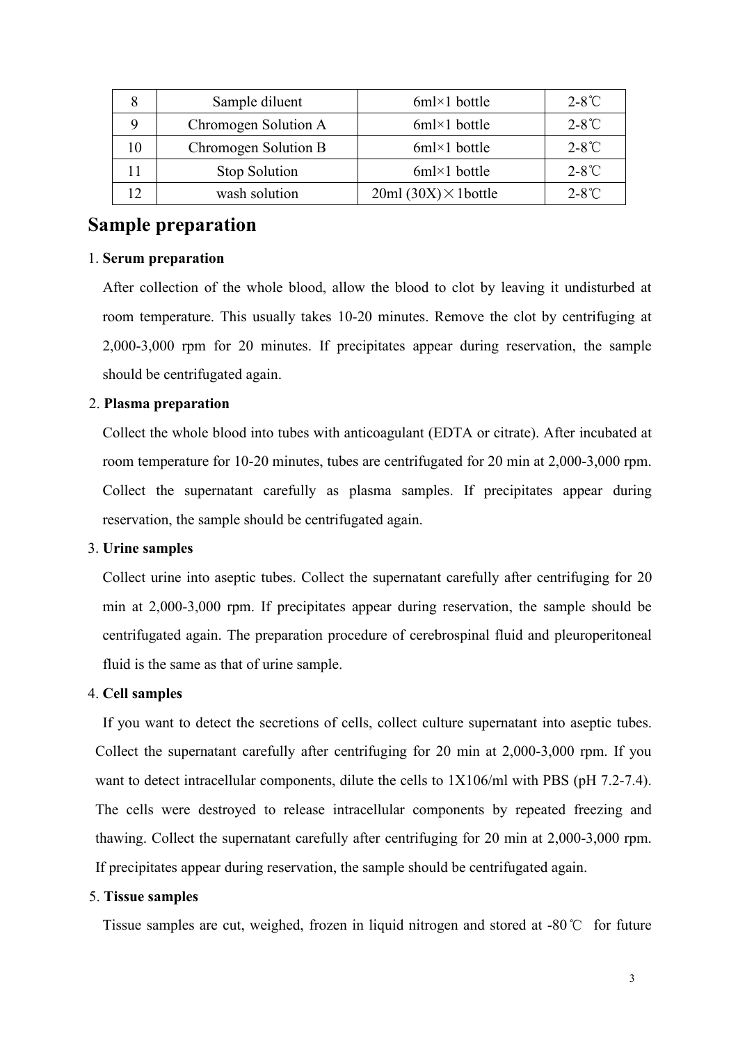|                | Sample diluent       | $6ml \times 1$ bottle       | $2-8^{\circ}$ C |
|----------------|----------------------|-----------------------------|-----------------|
|                | Chromogen Solution A | $6m \times 1$ bottle        | $2-8^{\circ}C$  |
| 10             | Chromogen Solution B | $6ml \times 1$ bottle       | $2-8^{\circ}C$  |
|                | <b>Stop Solution</b> | $6ml \times 1$ bottle       | $2-8^{\circ}C$  |
| $\overline{1}$ | wash solution        | $20ml (30X) \times 1bottle$ | $2-8^{\circ}C$  |

### **Sample preparation**

#### 1. **Serum preparation**

After collection of the whole blood, allow the blood to clot by leaving it undisturbed at room temperature. This usually takes 10-20 minutes. Remove the clot by centrifuging at 2,000-3,000 rpm for 20 minutes. If precipitates appear during reservation, the sample should be centrifugated again.

#### 2. **Plasma preparation**

Collect the whole blood into tubes with anticoagulant (EDTA or citrate). After incubated at room temperature for 10-20 minutes, tubes are centrifugated for 20 min at 2,000-3,000 rpm. Collect the supernatant carefully as plasma samples. If precipitates appear during reservation, the sample should be centrifugated again.

#### 3. **Urine samples**

Collect urine into aseptic tubes. Collect the supernatant carefully after centrifuging for 20 min at 2,000-3,000 rpm. If precipitates appear during reservation, the sample should be centrifugated again. The preparation procedure of cerebrospinal fluid and pleuroperitoneal fluid is the same as that of urine sample.

#### 4. **Cell samples**

If you want to detect the secretions of cells, collect culture supernatant into aseptic tubes. Collect the supernatant carefully after centrifuging for 20 min at 2,000-3,000 rpm. If you want to detect intracellular components, dilute the cells to  $1X106/ml$  with PBS (pH 7.2-7.4). The cells were destroyed to release intracellular components by repeated freezing and thawing. Collect the supernatant carefully after centrifuging for 20 min at 2,000-3,000 rpm. If precipitates appear during reservation, the sample should be centrifugated again.

#### 5. **Tissue samples**

Tissue samples are cut, weighed, frozen in liquid nitrogen and stored at -80℃ for future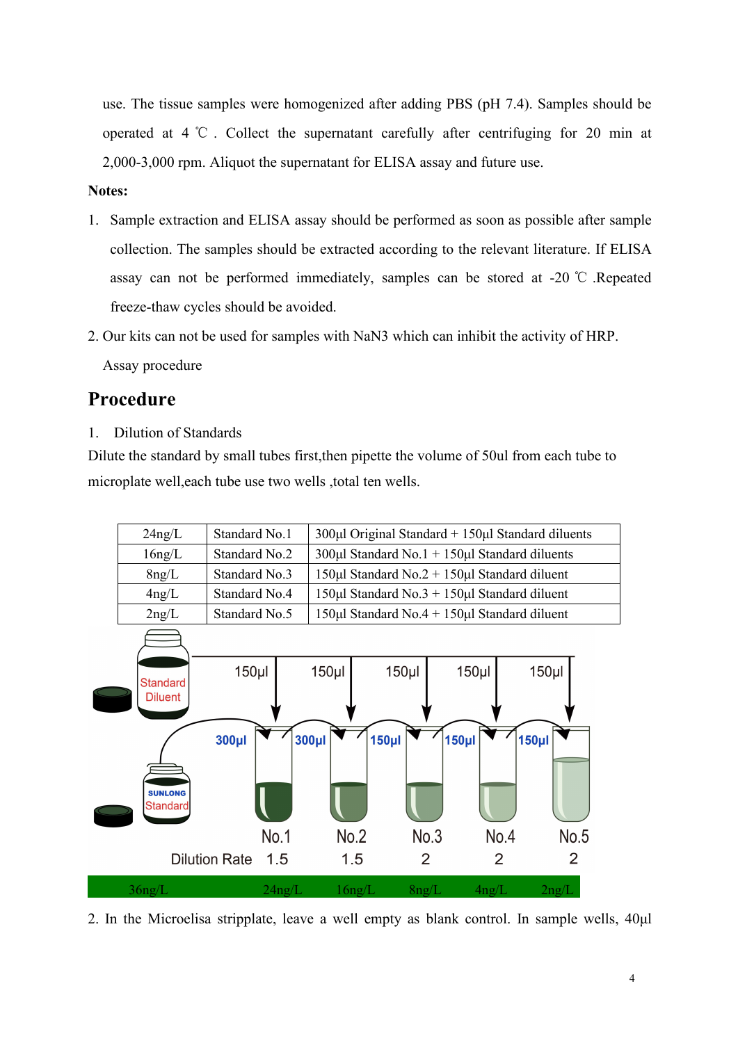use. The tissue samples were homogenized after adding PBS (pH 7.4). Samples should be operated at 4 ℃ . Collect the supernatant carefully after centrifuging for 20 min at 2,000-3,000 rpm. Aliquot the supernatant for ELISA assay and future use.

#### **Notes:**

- 1. Sample extraction and ELISA assay should be performed as soon as possible after sample collection. The samples should be extracted according to the relevant literature. If ELISA assay can not be performed immediately, samples can be stored at -20 ℃ .Repeated freeze-thaw cycles should be avoided.2. Our kits can not be used for samples with NaN3 which can inhibit the activity of HRP.
- 

Assay procedure

### **Procedure**

1. Dilution of Standards

Dilute the standard by small tubes first,then pipette the volume of 50ul from each tube to microplate well,each tube use two wells ,total ten wells.



2. In the Microelisa stripplate, leave a well empty as blank control. In sample wells, 40μl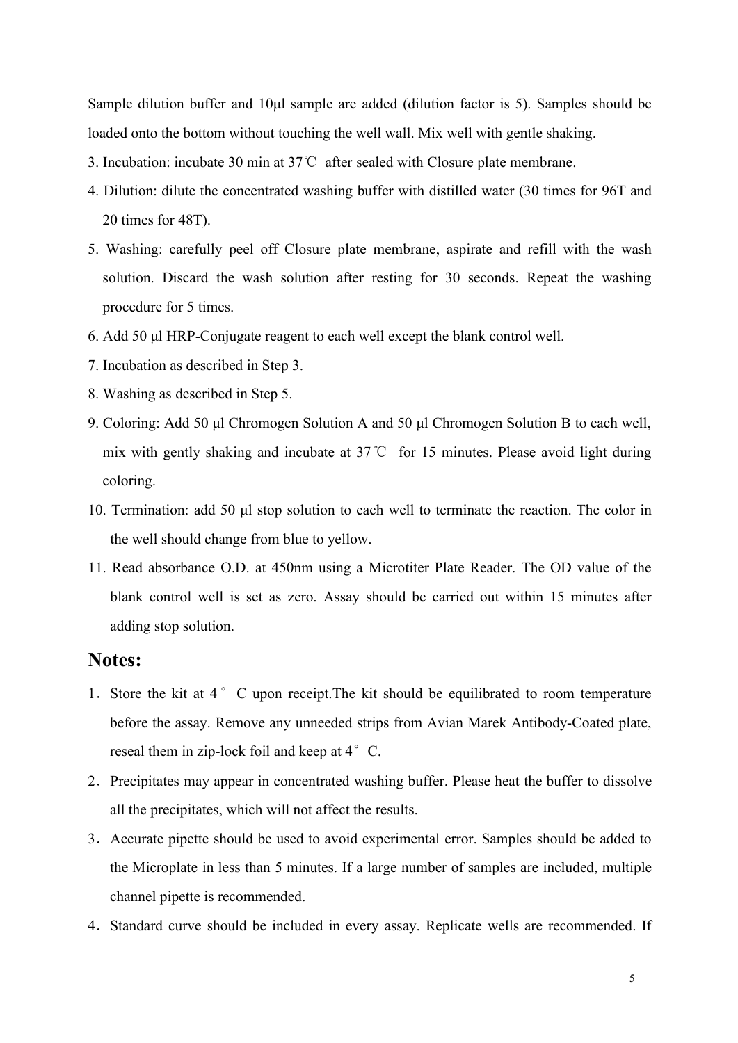Sample dilution buffer and 10μl sample are added (dilution factor is 5). Samples should be loaded onto the bottom without touching the well wall. Mix well with gentle shaking.

- 3. Incubation: incubate 30 min at 37℃ after sealed with Closure plate membrane.
- 4. Dilution: dilute the concentrated washing buffer with distilled water (30 times for 96T and 20 times for 48T).
- 5. Washing: carefully peel off Closure plate membrane, aspirate and refill with the wash solution. Discard the wash solution after resting for 30 seconds. Repeat the washing procedure for 5 times.
- 6. Add 50 μl HRP-Conjugate reagent to each well except the blank control well.
- 7. Incubation as described in Step 3.
- 8. Washing as described in Step 5.
- 9. Coloring: Add 50 μl Chromogen Solution A and 50 μl Chromogen Solution B to each well, mix with gently shaking and incubate at 37℃ for 15 minutes. Please avoid light during coloring.
- 10. Termination: add 50 μl stop solution to each well to terminate the reaction. The color in the well should change from blue to yellow.
- 11. Read absorbance O.D. at 450nm using a Microtiter Plate Reader. The OD value of the blank control well is set as zero. Assay should be carried out within 15 minutes after adding stop solution.

### **Notes:**

- 1. Store the kit at 4 °C upon receipt. The kit should be equilibrated to room temperature before the assay. Remove any unneeded strips from Avian Marek Antibody-Coated plate, reseal them in zip-lock foil and keep at  $4^{\circ}$  C.
- 2. Precipitates may appear in concentrated washing buffer. Please heat the buffer to dissolve all the precipitates, which will not affect the results.
- 3.Accurate pipette should be used to avoid experimental error. Samples should be added to the Microplate in less than 5 minutes. If a large number of samples are included, multiple channel pipette is recommended.
- 4.Standard curve should be included in every assay. Replicate wells are recommended. If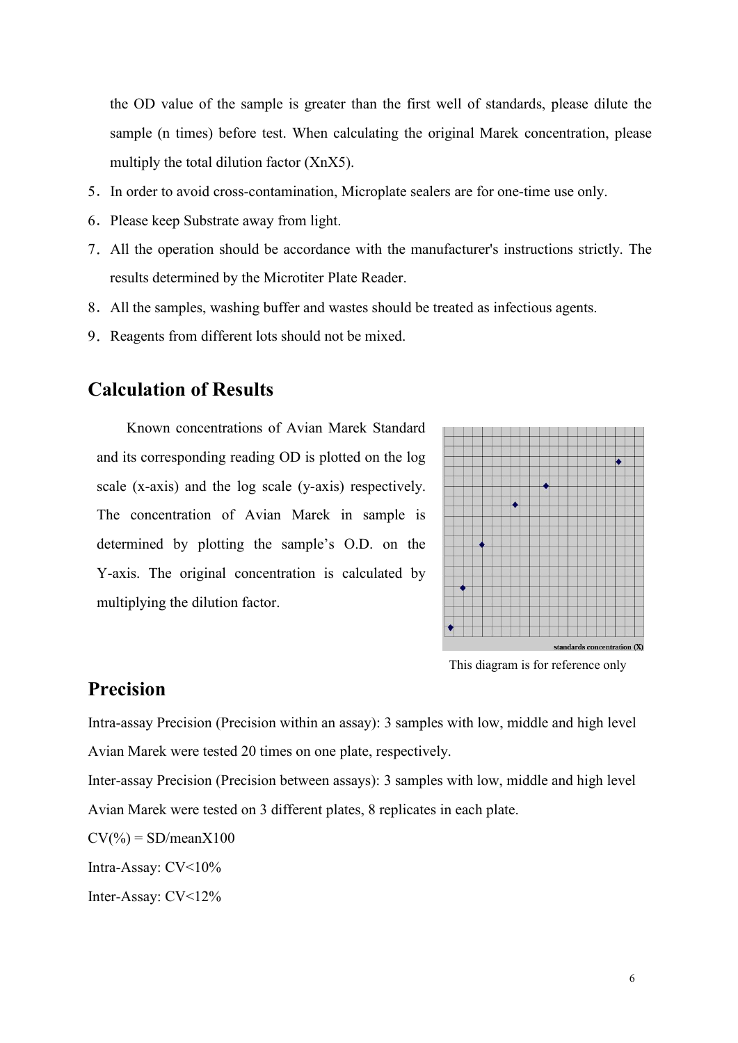the OD value of the sample is greater than the first well of standards, please dilute the sample (n times) before test. When calculating the original Marek concentration, please multiply the total dilution factor (XnX5).

- 5.In order to avoid cross-contamination, Microplate sealers are for one-time use only.
- 6.Please keep Substrate away from light.
- 7.All the operation should be accordance with the manufacturer's instructions strictly. The results determined by the Microtiter Plate Reader.
- 8. All the samples, washing buffer and wastes should be treated as infectious agents.
- 9.Reagents from different lots should not be mixed.

### **Calculation of Results**

Known concentrations of Avian Marek Standard and its corresponding reading OD is plotted on the log scale (x-axis) and the log scale (y-axis) respectively. The concentration of Avian Marek in sample is determined by plotting the sample's O.D. on the Y-axis. The original concentration is calculated by multiplying the dilution factor.



This diagram is for reference only

### **Precision**

Intra-assay Precision (Precision within an assay): 3 samples with low, middle and high level Avian Marek were tested 20 times on one plate, respectively.

Inter-assay Precision (Precision between assays): 3 samples with low, middle and high level Avian Marek were tested on 3 different plates, 8 replicates in each plate.

 $CV(\%) = SD/meanX100$ 

Intra-Assay: CV<10%

Inter-Assay: CV<12%